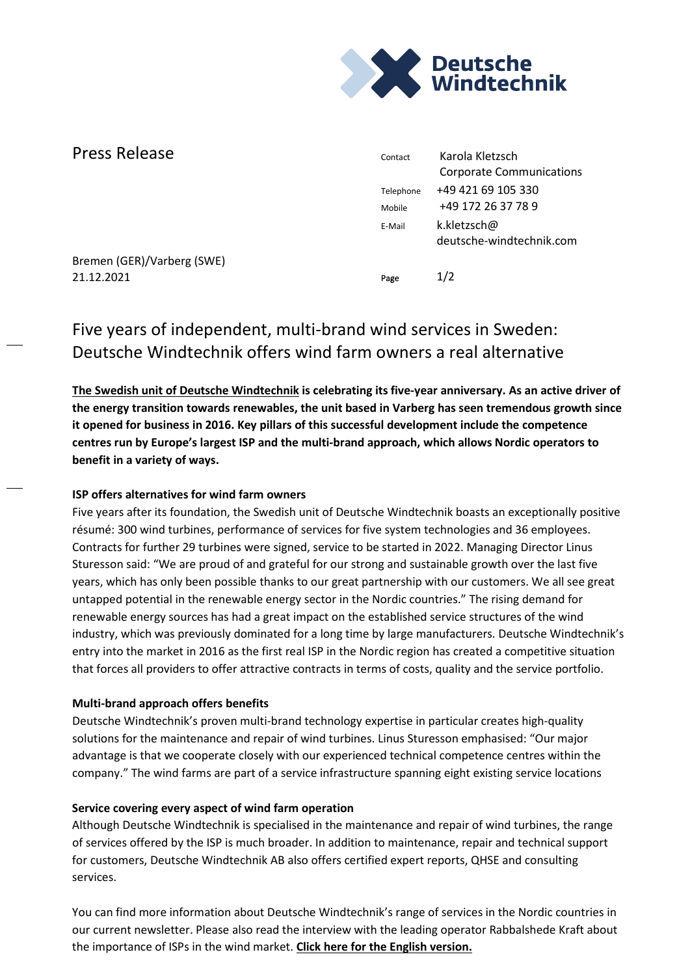

| Press Release              | Contact   | Karola Kletzsch<br><b>Corporate Communications</b> |
|----------------------------|-----------|----------------------------------------------------|
|                            | Telephone | +49 421 69 105 330                                 |
|                            | Mobile    | +49 172 26 37 78 9                                 |
|                            | E-Mail    | k.kletzsch@<br>deutsche-windtechnik.com            |
| Bremen (GER)/Varberg (SWE) |           |                                                    |
| 21.12.2021                 | Page      | 1/2                                                |

# Five years of independent, multi-brand wind services in Sweden: Deutsche Windtechnik offers wind farm owners a real alternative

**[The Swedish unit of Deutsche Windtechnik](https://www.deutsche-windtechnik.com/sweden) is celebrating its five-year anniversary. As an active driver of the energy transition towards renewables, the unit based in Varberg has seen tremendous growth since it opened for business in 2016. Key pillars of this successful development include the competence centres run by Europe's largest ISP and the multi-brand approach, which allows Nordic operators to benefit in a variety of ways.** 

## **ISP offers alternatives for wind farm owners**

Five years after its foundation, the Swedish unit of Deutsche Windtechnik boasts an exceptionally positive résumé: 300 wind turbines, performance of services for five system technologies and 36 employees. Contracts for further 29 turbines were signed, service to be started in 2022. Managing Director Linus Sturesson said: "We are proud of and grateful for our strong and sustainable growth over the last five years, which has only been possible thanks to our great partnership with our customers. We all see great untapped potential in the renewable energy sector in the Nordic countries." The rising demand for renewable energy sources has had a great impact on the established service structures of the wind industry, which was previously dominated for a long time by large manufacturers. Deutsche Windtechnik's entry into the market in 2016 as the first real ISP in the Nordic region has created a competitive situation that forces all providers to offer attractive contracts in terms of costs, quality and the service portfolio.

## **Multi-brand approach offers benefits**

Deutsche Windtechnik's proven multi-brand technology expertise in particular creates high-quality solutions for the maintenance and repair of wind turbines. Linus Sturesson emphasised: "Our major advantage is that we cooperate closely with our experienced technical competence centres within the company." The wind farms are part of a service infrastructure spanning eight existing service locations

## **Service covering every aspect of wind farm operation**

Although Deutsche Windtechnik is specialised in the maintenance and repair of wind turbines, the range of services offered by the ISP is much broader. In addition to maintenance, repair and technical support for customers, Deutsche Windtechnik AB also offers certified expert reports, QHSE and consulting services.

You can find more information about Deutsche Windtechnik's range of services in the Nordic countries in our current newsletter. Please also read the interview with the leading operator Rabbalshede Kraft about the importance of ISPs in the wind market. **[Click here for the English version.](https://www.deutsche-windtechnik.com/cms_sources/dokumente/Luftpost/dewt_luftpost_schweden_2021_geaendert_web_en.pdf)**